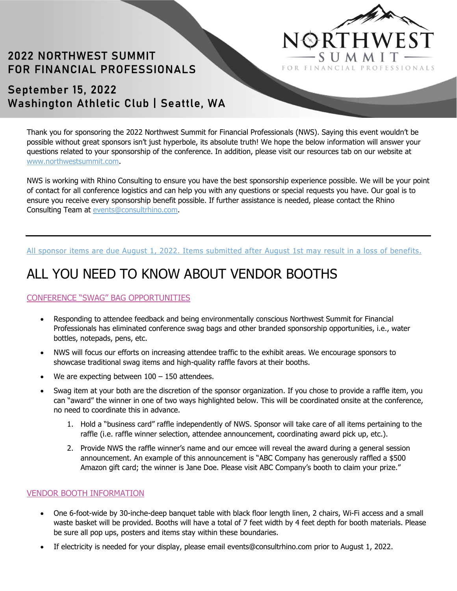

# **2022 NORTHWEST SUMMIT** FOR FINANCIAL PROFESSIONALS

## September 15, 2022 Washington Athletic Club | Seattle, WA

Thank you for sponsoring the 2022 Northwest Summit for Financial Professionals (NWS). Saying this event wouldn't be possible without great sponsors isn't just hyperbole, its absolute truth! We hope the below information will answer your questions related to your sponsorship of the conference. In addition, please visit our resources tab on our website at www.northwestsummit.com.

NWS is working with Rhino Consulting to ensure you have the best sponsorship experience possible. We will be your point of contact for all conference logistics and can help you with any questions or special requests you have. Our goal is to ensure you receive every sponsorship benefit possible. If further assistance is needed, please contact the Rhino Consulting Team at events@consultrhino.com.

#### All sponsor items are due August 1, 2022. Items submitted after August 1st may result in a loss of benefits.

# ALL YOU NEED TO KNOW ABOUT VENDOR BOOTHS

### CONFERENCE "SWAG" BAG OPPORTUNITIES

- Responding to attendee feedback and being environmentally conscious Northwest Summit for Financial Professionals has eliminated conference swag bags and other branded sponsorship opportunities, i.e., water bottles, notepads, pens, etc.
- NWS will focus our efforts on increasing attendee traffic to the exhibit areas. We encourage sponsors to showcase traditional swag items and high-quality raffle favors at their booths.
- We are expecting between  $100 150$  attendees.
- Swag item at your both are the discretion of the sponsor organization. If you chose to provide a raffle item, you can "award" the winner in one of two ways highlighted below. This will be coordinated onsite at the conference, no need to coordinate this in advance.
	- 1. Hold a "business card" raffle independently of NWS. Sponsor will take care of all items pertaining to the raffle (i.e. raffle winner selection, attendee announcement, coordinating award pick up, etc.).
	- 2. Provide NWS the raffle winner's name and our emcee will reveal the award during a general session announcement. An example of this announcement is "ABC Company has generously raffled a \$500 Amazon gift card; the winner is Jane Doe. Please visit ABC Company's booth to claim your prize."

#### VENDOR BOOTH INFORMATION

- One 6-foot-wide by 30-inche-deep banquet table with black floor length linen, 2 chairs, Wi-Fi access and a small waste basket will be provided. Booths will have a total of 7 feet width by 4 feet depth for booth materials. Please be sure all pop ups, posters and items stay within these boundaries.
- If electricity is needed for your display, please email events@consultrhino.com prior to August 1, 2022.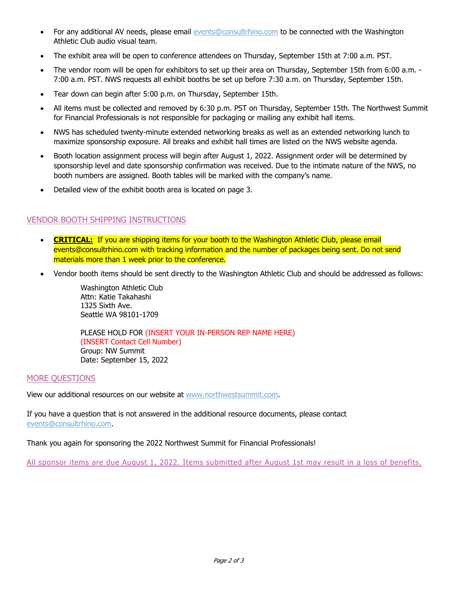- For any additional AV needs, please email events@consultrhino.com to be connected with the Washington Athletic Club audio visual team.
- The exhibit area will be open to conference attendees on Thursday, September 15th at 7:00 a.m. PST.
- The vendor room will be open for exhibitors to set up their area on Thursday, September 15th from 6:00 a.m. 7:00 a.m. PST. NWS requests all exhibit booths be set up before 7:30 a.m. on Thursday, September 15th.
- Tear down can begin after 5:00 p.m. on Thursday, September 15th.
- All items must be collected and removed by 6:30 p.m. PST on Thursday, September 15th. The Northwest Summit for Financial Professionals is not responsible for packaging or mailing any exhibit hall items.
- NWS has scheduled twenty-minute extended networking breaks as well as an extended networking lunch to maximize sponsorship exposure. All breaks and exhibit hall times are listed on the NWS website agenda.
- Booth location assignment process will begin after August 1, 2022. Assignment order will be determined by sponsorship level and date sponsorship confirmation was received. Due to the intimate nature of the NWS, no booth numbers are assigned. Booth tables will be marked with the company's name.
- Detailed view of the exhibit booth area is located on page 3.

## VENDOR BOOTH SHIPPING INSTRUCTIONS

- **CRITICAL:** If you are shipping items for your booth to the Washington Athletic Club, please email events@consultrhino.com with tracking information and the number of packages being sent. Do not send materials more than 1 week prior to the conference.
- Vendor booth items should be sent directly to the Washington Athletic Club and should be addressed as follows:

Washington Athletic Club Attn: Katie Takahashi 1325 Sixth Ave. Seattle WA 98101-1709

PLEASE HOLD FOR (INSERT YOUR IN-PERSON REP NAME HERE) (INSERT Contact Cell Number) Group: NW Summit Date: September 15, 2022

#### MORE QUESTIONS

View our additional resources on our website at www.northwestsummit.com.

If you have a question that is not answered in the additional resource documents, please contact events@consultrhino.com.

Thank you again for sponsoring the 2022 Northwest Summit for Financial Professionals!

All sponsor items are due August 1, 2022. Items submitted after August 1st may result in a loss of benefits.